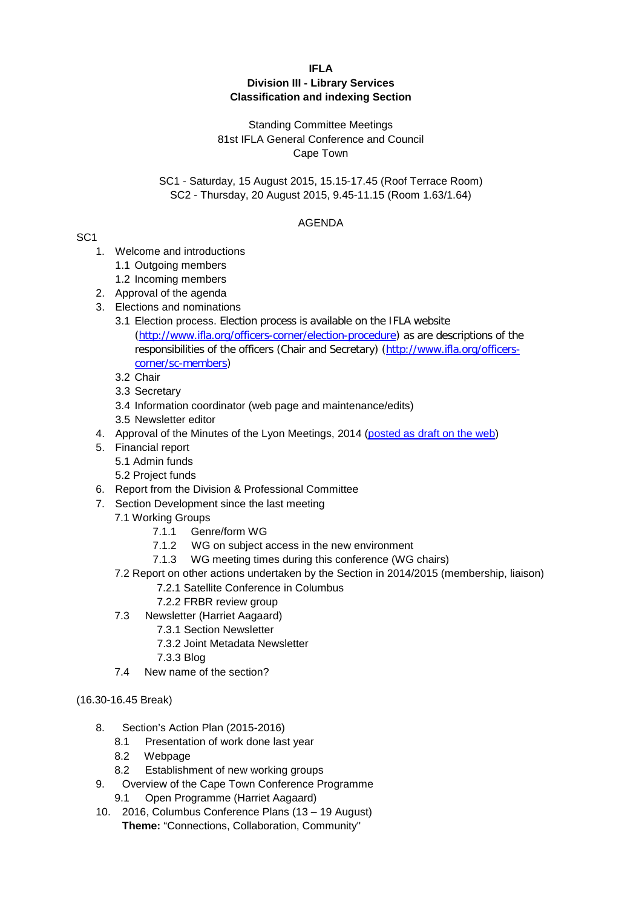### **IFLA**

### **Division III - Library Services Classification and indexing Section**

## Standing Committee Meetings 81st IFLA General Conference and Council Cape Town

## SC1 - Saturday, 15 August 2015, 15.15-17.45 (Roof Terrace Room) SC2 - Thursday, 20 August 2015, 9.45-11.15 (Room 1.63/1.64)

## AGENDA

# SC1

- 1. Welcome and introductions
	- 1.1 Outgoing members
	- 1.2 Incoming members
- 2. Approval of the agenda
- 3. Elections and nominations
	- 3.1 Election process. Election process is available on the IFLA website [\(http://www.ifla.org/officers-corner/election-procedure\)](http://www.ifla.org/officers-corner/election-procedure) as are descriptions of the responsibilities of the officers (Chair and Secretary) [\(http://www.ifla.org/officers](http://www.ifla.org/officers-corner/sc-members)[corner/sc-members\)](http://www.ifla.org/officers-corner/sc-members)
	- 3.2 Chair
	- 3.3 Secretary
	- 3.4 Information coordinator (web page and maintenance/edits)
	- 3.5 Newsletter editor
- 4. Approval of the Minutes of the Lyon Meetings, 2014 [\(posted as draft on the web\)](http://www.ifla.org/files/assets/classification-and-indexing/minutes/s29_minutes2014-draft.pdf)
- 5. Financial report
	- 5.1 Admin funds
	- 5.2 Project funds
- 6. Report from the Division & Professional Committee
- 7. Section Development since the last meeting
	- 7.1 Working Groups
		- 7.1.1 Genre/form WG
		- 7.1.2 WG on subject access in the new environment
		- 7.1.3 WG meeting times during this conference (WG chairs)
	- 7.2 Report on other actions undertaken by the Section in 2014/2015 (membership, liaison)
		- 7.2.1 Satellite Conference in Columbus
		- 7.2.2 FRBR review group
	- 7.3 Newsletter (Harriet Aagaard)
		- 7.3.1 Section Newsletter
		- 7.3.2 Joint Metadata Newsletter
		- 7.3.3 Blog
	- 7.4 New name of the section?

# (16.30-16.45 Break)

- 8. Section's Action Plan (2015-2016)
	- 8.1 Presentation of work done last year
	- 8.2 Webpage
	- 8.2 Establishment of new working groups
- 9. Overview of the Cape Town Conference Programme
	- 9.1 Open Programme (Harriet Aagaard)
- 10. 2016, Columbus Conference Plans (13 19 August) **Theme:** "Connections, Collaboration, Community"